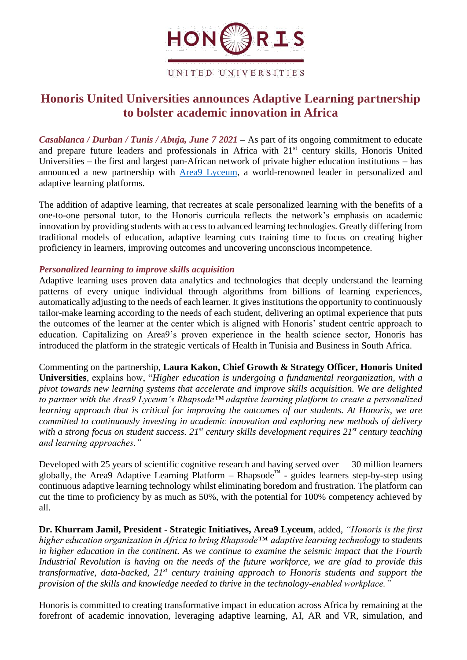

UNITED UNIVERSITIES

# **Honoris United Universities announces Adaptive Learning partnership to bolster academic innovation in Africa**

*Casablanca / Durban / Tunis / Abuja, June 7 2021 –* As part of its ongoing commitment to educate and prepare future leaders and professionals in Africa with 21<sup>st</sup> century skills, Honoris United Universities – the first and largest pan-African network of private higher education institutions – has announced a new partnership with [Area9 Lyceum,](https://area9lyceum.com/) a world-renowned leader in personalized and adaptive learning platforms.

The addition of adaptive learning, that recreates at scale personalized learning with the benefits of a one-to-one personal tutor, to the Honoris curricula reflects the network's emphasis on academic innovation by providing students with access to advanced learning technologies. Greatly differing from traditional models of education, adaptive learning cuts training time to focus on creating higher proficiency in learners, improving outcomes and uncovering unconscious incompetence.

### *Personalized learning to improve skills acquisition*

Adaptive learning uses proven data analytics and technologies that deeply understand the learning patterns of every unique individual through algorithms from billions of learning experiences, automatically adjusting to the needs of each learner. It gives institutions the opportunity to continuously tailor-make learning according to the needs of each student, delivering an optimal experience that puts the outcomes of the learner at the center which is aligned with Honoris' student centric approach to education. Capitalizing on Area9's proven experience in the health science sector, Honoris has introduced the platform in the strategic verticals of Health in Tunisia and Business in South Africa.

Commenting on the partnership, **Laura Kakon, Chief Growth & Strategy Officer, Honoris United Universities**, explains how, "*Higher education is undergoing a fundamental reorganization, with a pivot towards new learning systems that accelerate and improve skills acquisition. We are delighted to partner with the Area9 Lyceum's Rhapsode™ adaptive learning platform to create a personalized learning approach that is critical for improving the outcomes of our students. At Honoris, we are committed to continuously investing in academic innovation and exploring new methods of delivery with a strong focus on student success. 21st century skills development requires 21st century teaching and learning approaches."*

Developed with 25 years of scientific cognitive research and having served over 30 million learners globally, the Area9 Adaptive Learning Platform – Rhapsode<sup>™</sup> - guides learners step-by-step using continuous adaptive learning technology whilst eliminating boredom and frustration. The platform can cut the time to proficiency by as much as 50%, with the potential for 100% competency achieved by all.

**[Dr. Khurram Jamil, President -](https://blog.area9lyceum.com/author/dr-khurram-jamil-president-strategic-initiatives) Strategic Initiatives, Area9 Lyceum**, added, *"Honoris is the first higher education organization in Africa to bring Rhapsode™ adaptive learning technology to students in higher education in the continent. As we continue to examine the seismic impact that the Fourth Industrial Revolution is having on the needs of the future workforce, we are glad to provide this transformative, data-backed, 21st century training approach to Honoris students and support the provision of the skills and knowledge needed to thrive in the technology-enabled workplace."* 

Honoris is committed to creating transformative impact in education across Africa by remaining at the forefront of academic innovation, leveraging adaptive learning, AI, AR and VR, simulation, and